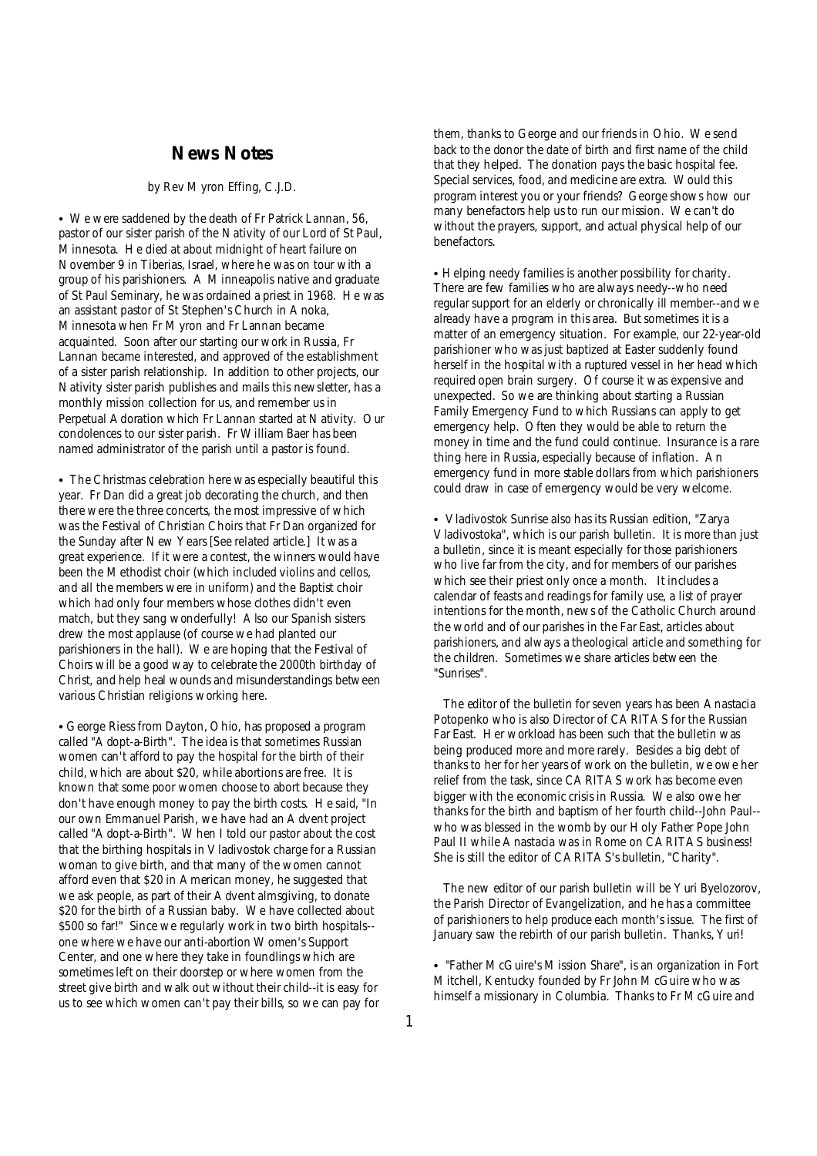## **News Notes**

#### *by Rev Myron Effing, C.J.D.*

• We were saddened by the death of Fr Patrick Lannan, 56, pastor of our sister parish of the Nativity of our Lord of St Paul, Minnesota. He died at about midnight of heart failure on November 9 in Tiberias, Israel, where he was on tour with a group of his parishioners. A Minneapolis native and graduate of St Paul Seminary, he was ordained a priest in 1968. He was an assistant pastor of St Stephen's Church in Anoka, Minnesota when Fr Myron and Fr Lannan became acquainted. Soon after our starting our work in Russia, Fr Lannan became interested, and approved of the establishment of a sister parish relationship. In addition to other projects, our Nativity sister parish publishes and mails this newsletter, has a monthly mission collection for us, and remember us in Perpetual Adoration which Fr Lannan started at Nativity. Our condolences to our sister parish. Fr William Baer has been named administrator of the parish until a pastor is found.

• The Christmas celebration here was especially beautiful this year. Fr Dan did a great job decorating the church, and then there were the three concerts, the most impressive of which was the Festival of Christian Choirs that Fr Dan organized for the Sunday after New Years [See related article.] It was a great experience. If it were a contest, the winners would have been the Methodist choir (which included violins and cellos, and all the members were in uniform) and the Baptist choir which had only four members whose clothes didn't even match, but they sang wonderfully! Also our Spanish sisters drew the most applause (of course we had planted our parishioners in the hall). We are hoping that the Festival of Choirs will be a good way to celebrate the 2000th birthday of Christ, and help heal wounds and misunderstandings between various Christian religions working here.

• George Riess from Dayton, Ohio, has proposed a program called "Adopt-a-Birth". The idea is that sometimes Russian women can't afford to pay the hospital for the birth of their child, which are about \$20, while abortions are free. It is known that some poor women choose to abort because they don't have enough money to pay the birth costs. He said, "In our own Emmanuel Parish, we have had an Advent project called "Adopt-a-Birth". When I told our pastor about the cost that the birthing hospitals in Vladivostok charge for a Russian woman to give birth, and that many of the women cannot afford even that \$20 in American money, he suggested that we ask people, as part of their Advent almsgiving, to donate \$20 for the birth of a Russian baby. We have collected about \$500 so far!" Since we regularly work in two birth hospitals- one where we have our anti-abortion Women's Support Center, and one where they take in foundlings which are sometimes left on their doorstep or where women from the street give birth and walk out without their child--it is easy for us to see which women can't pay their bills, so we can pay for them, thanks to George and our friends in Ohio. We send back to the donor the date of birth and first name of the child that they helped. The donation pays the basic hospital fee. Special services, food, and medicine are extra. Would this program interest you or your friends? George shows how our many benefactors help us to run our mission. We can't do without the prayers, support, and actual physical help of our benefactors.

• Helping needy families is another possibility for charity. There are few families who are always needy--who need regular support for an elderly or chronically ill member--and we already have a program in this area. But sometimes it is a matter of an emergency situation. For example, our 22-year-old parishioner who was just baptized at Easter suddenly found herself in the hospital with a ruptured vessel in her head which required open brain surgery. Of course it was expensive and unexpected. So we are thinking about starting a Russian Family Emergency Fund to which Russians can apply to get emergency help. Often they would be able to return the money in time and the fund could continue. Insurance is a rare thing here in Russia, especially because of inflation. An emergency fund in more stable dollars from which parishioners could draw in case of emergency would be very welcome.

• *Vladivostok Sunrise* also has its Russian edition, "Zarya Vladivostoka", which is our parish bulletin. It is more than just a bulletin, since it is meant especially for those parishioners who live far from the city, and for members of our parishes which see their priest only once a month. It includes a calendar of feasts and readings for family use, a list of prayer intentions for the month, news of the Catholic Church around the world and of our parishes in the Far East, articles about parishioners, and always a theological article and something for the children. Sometimes we share articles between the "Sunrises".

 The editor of the bulletin for seven years has been Anastacia Potopenko who is also Director of CARITAS for the Russian Far East. Her workload has been such that the bulletin was being produced more and more rarely. Besides a big debt of thanks to her for her years of work on the bulletin, we owe her relief from the task, since CARITAS work has become even bigger with the economic crisis in Russia. We also owe her thanks for the birth and baptism of her fourth child--John Paul- who was blessed in the womb by our Holy Father Pope John Paul II while Anastacia was in Rome on CARITAS business! She is still the editor of CARITAS's bulletin, "Charity".

 The new editor of our parish bulletin will be Yuri Byelozorov, the Parish Director of Evangelization, and he has a committee of parishioners to help produce each month's issue. The first of January saw the rebirth of our parish bulletin. Thanks, Yuri!

• "Father McGuire's Mission Share", is an organization in Fort Mitchell, Kentucky founded by Fr John McGuire who was himself a missionary in Columbia. Thanks to Fr McGuire and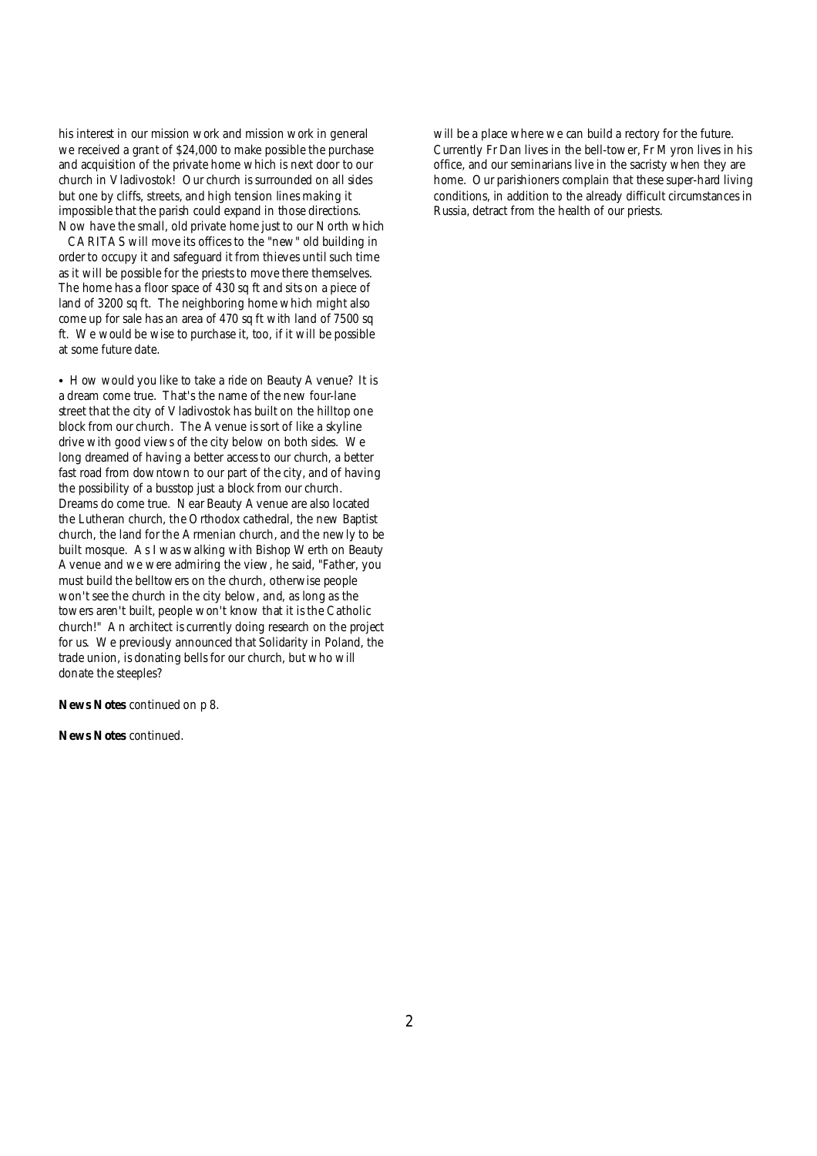his interest in our mission work and mission work in general we received a grant of \$24,000 to make possible the purchase and acquisition of the private home which is next door to our church in Vladivostok! Our church is surrounded on all sides but one by cliffs, streets, and high tension lines making it impossible that the parish could expand in those directions. Now have the small, old private home just to our North which

CARITAS will move its offices to the "new" old building in order to occupy it and safeguard it from thieves until such time as it will be possible for the priests to move there themselves. The home has a floor space of 430 sq ft and sits on a piece of land of 3200 sq ft. The neighboring home which might also come up for sale has an area of 470 sq ft with land of 7500 sq ft. We would be wise to purchase it, too, if it will be possible at some future date.

• How would you like to take a ride on Beauty Avenue? It is a dream come true. That's the name of the new four-lane street that the city of Vladivostok has built on the hilltop one block from our church. The Avenue is sort of like a skyline drive with good views of the city below on both sides. We long dreamed of having a better access to our church, a better fast road from downtown to our part of the city, and of having the possibility of a busstop just a block from our church. Dreams do come true. Near Beauty Avenue are also located the Lutheran church, the Orthodox cathedral, the new Baptist church, the land for the Armenian church, and the newly to be built mosque. As I was walking with Bishop Werth on Beauty Avenue and we were admiring the view, he said, "Father, you must build the belltowers on the church, otherwise people won't see the church in the city below, and, as long as the towers aren't built, people won't know that it is the Catholic church!" An architect is currently doing research on the project for us. We previously announced that Solidarity in Poland, the trade union, is donating bells for our church, but who will donate the steeples?

**News Notes** continued on p 8.

**News Notes** continued.

will be a place where we can build a rectory for the future. Currently Fr Dan lives in the bell-tower, Fr Myron lives in his office, and our seminarians live in the sacristy when they are home. Our parishioners complain that these super-hard living conditions, in addition to the already difficult circumstances in Russia, detract from the health of our priests.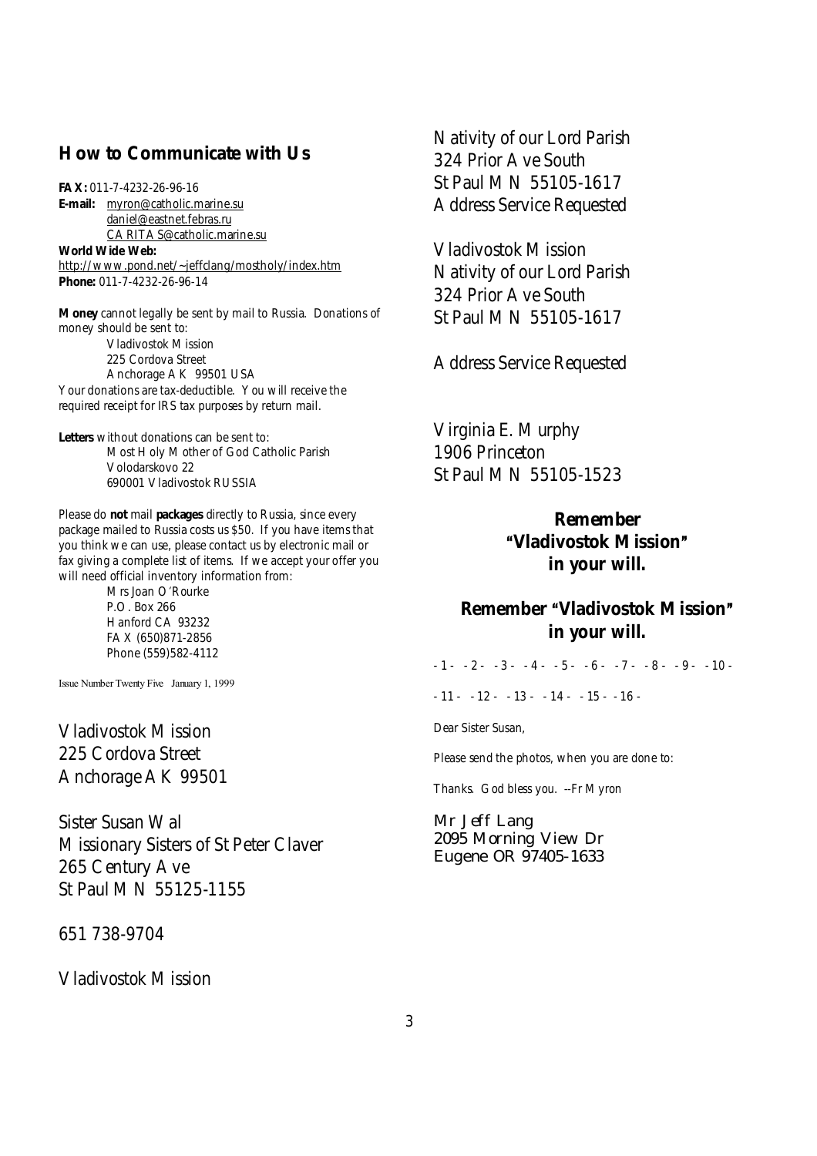## **How to Communicate with Us**

**FAX:** 011-7-4232-26-96-16 **E-mail:** [myron@catholic.marine.su](mailto:myron@catholic.marine.su) [daniel@eastnet.febras.ru](mailto:daniel@eastnet.febras.ru) [CARITAS@catholic.marine.su](mailto:CARITAS@catholic.marine.su) **World Wide Web:** <http://www.pond.net/~jeffclang/mostholy/index.htm> **Phone:** 011-7-4232-26-96-14

**Money** cannot legally be sent by mail to Russia. Donations of money should be sent to: Vladivostok Mission 225 Cordova Street

Anchorage AK 99501 USA Your donations are tax-deductible. You will receive the required receipt for IRS tax purposes by return mail.

**Letters** without donations can be sent to: Most Holy Mother of God Catholic Parish Volodarskovo 22 690001 Vladivostok RUSSIA

Please do **not** mail **packages** directly to Russia, since every package mailed to Russia costs us \$50. If you have items that you think we can use, please contact us by electronic mail or fax giving a complete list of items. If we accept your offer you will need official inventory information from:

> Mrs Joan O'Rourke P.O. Box 266 Hanford CA 93232 FAX (650)871-2856 Phone (559)582-4112

Issue Number Twenty Five January 1, 1999

Vladivostok Mission 225 Cordova Street Anchorage AK 99501

Sister Susan Wal Missionary Sisters of St Peter Claver 265 Century Ave St Paul MN 55125-1155

651 738-9704

Vladivostok Mission

Nativity of our Lord Parish 324 Prior Ave South St Paul MN 55105-1617 Address Service Requested

Vladivostok Mission Nativity of our Lord Parish 324 Prior Ave South St Paul MN 55105-1617

Address Service Requested

Virginia E. Murphy 1906 Princeton St Paul MN 55105-1523

> **Remember AVladivostok Mission@ in your will.**

# **Remember Wladivostok Mission**<sup> $n$ </sup> **in your will.**

 $-1 - 2 - 3 - 4 - 5 - 6 - 7 - 8 - 9 - 10 - 1$ 

 $-11 - 12 - 13 - 13 - 14 - 15 - 16$ 

Dear Sister Susan,

Please send the photos, when you are done to:

Thanks. God bless you. --Fr Myron

Mr Jeff Lang 2095 Morning View Dr Eugene OR 97405-1633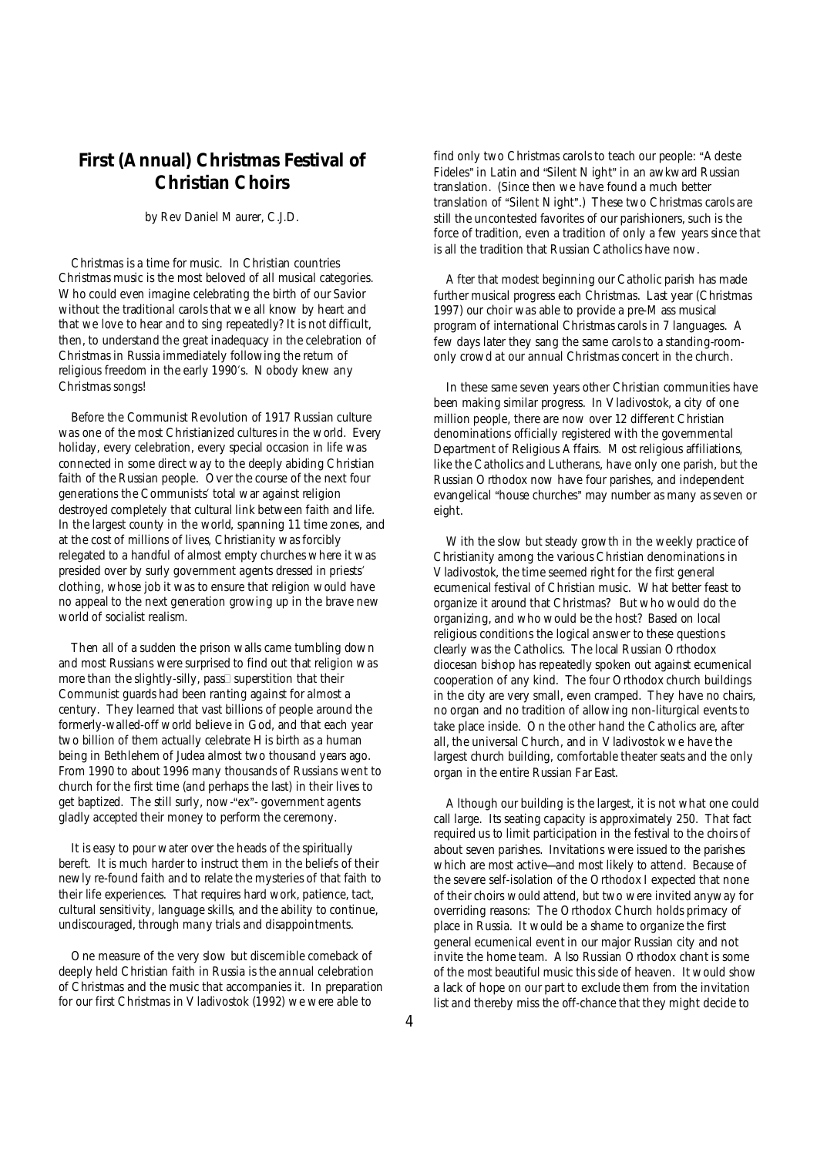# **First (Annual) Christmas Festival of Christian Choirs**

### *by Rev Daniel Maurer, C.J.D.*

 Christmas is a time for music. In Christian countries Christmas music is the most beloved of all musical categories. Who could even imagine celebrating the birth of our Savior without the traditional carols that we all know by heart and that we love to hear and to sing repeatedly? It is not difficult, then, to understand the great inadequacy in the celebration of Christmas in Russia immediately following the return of religious freedom in the early 1990's. Nobody knew any Christmas songs!

 Before the Communist Revolution of 1917 Russian culture was one of the most Christianized cultures in the world. Every holiday, every celebration, every special occasion in life was connected in some direct way to the deeply abiding Christian faith of the Russian people. Over the course of the next four generations the Communists' total war against religion destroyed completely that cultural link between faith and life. In the largest county in the world, spanning 11 time zones, and at the cost of millions of lives, Christianity was forcibly relegated to a handful of almost empty churches where it was presided over by surly government agents dressed in priests' clothing, whose job it was to ensure that religion would have no appeal to the next generation growing up in the brave new world of socialist realism.

 Then all of a sudden the prison walls came tumbling down and most Russians were surprised to find out that religion was more than the slightly-silly, pass $\square$  superstition that their Communist guards had been ranting against for almost a century. They learned that vast billions of people around the formerly-walled-off world believe in God, and that each year two billion of them actually celebrate His birth as a human being in Bethlehem of Judea almost two thousand years ago. From 1990 to about 1996 many thousands of Russians went to church for the first time (and perhaps the last) in their lives to get baptized. The still surly, now-"ex"- government agents gladly accepted their money to perform the ceremony.

 It is easy to pour water over the heads of the spiritually bereft. It is much harder to instruct them in the beliefs of their newly re-found faith and to relate the mysteries of that faith to their life experiences. That requires hard work, patience, tact, cultural sensitivity, language skills, and the ability to continue, undiscouraged, through many trials and disappointments.

 One measure of the very slow but discernible comeback of deeply held Christian faith in Russia is the annual celebration of Christmas and the music that accompanies it. In preparation for our first Christmas in Vladivostok (1992) we were able to

find only two Christmas carols to teach our people: "Adeste Fideles" in Latin and "Silent Night" in an awkward Russian translation. (Since then we have found a much better translation of "Silent Night".) These two Christmas carols are still the uncontested favorites of our parishioners, such is the force of tradition, even a tradition of only a few years since that is all the tradition that Russian Catholics have now.

 After that modest beginning our Catholic parish has made further musical progress each Christmas. Last year (Christmas 1997) our choir was able to provide a pre-Mass musical program of international Christmas carols in 7 languages. A few days later they sang the same carols to a standing-roomonly crowd at our annual Christmas concert in the church.

 In these same seven years other Christian communities have been making similar progress. In Vladivostok, a city of one million people, there are now over 12 different Christian denominations officially registered with the governmental Department of Religious Affairs. Most religious affiliations, like the Catholics and Lutherans, have only one parish, but the Russian Orthodox now have four parishes, and independent evangelical "house churches" may number as many as seven or eight.

 With the slow but steady growth in the weekly practice of Christianity among the various Christian denominations in Vladivostok, the time seemed right for the first general ecumenical festival of Christian music. What better feast to organize it around that Christmas? But who would do the organizing, and who would be the host? Based on local religious conditions the logical answer to these questions clearly was the Catholics. The local Russian Orthodox diocesan bishop has repeatedly spoken out against ecumenical cooperation of any kind. The four Orthodox church buildings in the city are very small, even cramped. They have no chairs, no organ and no tradition of allowing non-liturgical events to take place inside. On the other hand the Catholics are, after all, the universal Church, and in Vladivostok we have the largest church building, comfortable theater seats and the only organ in the entire Russian Far East.

 Although our building is the largest, it is not what one could call large. Its seating capacity is approximately 250. That fact required us to limit participation in the festival to the choirs of about seven parishes. Invitations were issued to the parishes which are most active-and most likely to attend. Because of the severe self-isolation of the Orthodox I expected that none of their choirs would attend, but two were invited anyway for overriding reasons: The Orthodox Church holds primacy of place in Russia. It would be a shame to organize the first general ecumenical event in our major Russian city and not invite the home team. Also Russian Orthodox chant is some of the most beautiful music this side of heaven. It would show a lack of hope on our part to exclude them from the invitation list and thereby miss the off-chance that they might decide to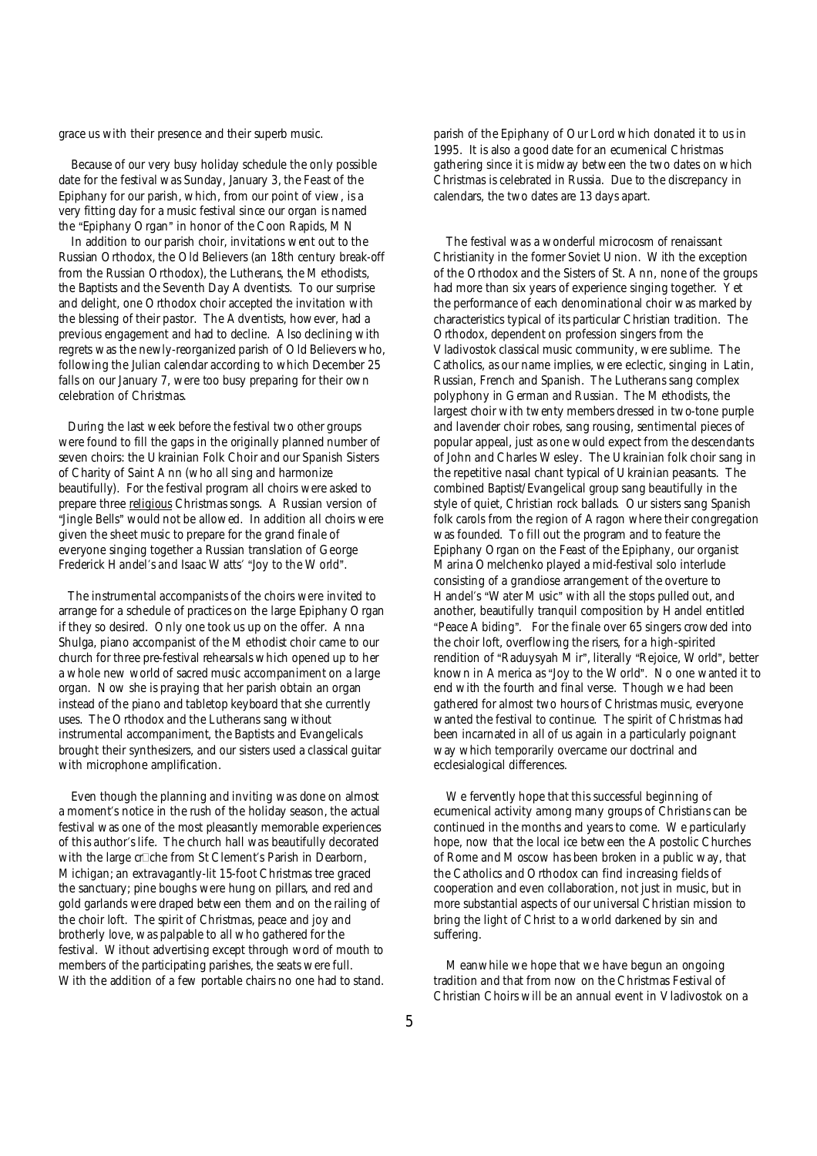grace us with their presence and their superb music.

 Because of our very busy holiday schedule the only possible date for the festival was Sunday, January 3, the Feast of the Epiphany for our parish, which, from our point of view, is a very fitting day for a music festival since our organ is named the "Epiphany Organ" in honor of the Coon Rapids, MN

 In addition to our parish choir, invitations went out to the Russian Orthodox, the Old Believers (an 18th century break-off from the Russian Orthodox), the Lutherans, the Methodists, the Baptists and the Seventh Day Adventists. To our surprise and delight, one Orthodox choir accepted the invitation with the blessing of their pastor. The Adventists, however, had a previous engagement and had to decline. Also declining with regrets was the newly-reorganized parish of Old Believers who, following the Julian calendar according to which December 25 falls on our January 7, were too busy preparing for their own celebration of Christmas.

During the last week before the festival two other groups were found to fill the gaps in the originally planned number of seven choirs: the Ukrainian Folk Choir and our Spanish Sisters of Charity of Saint Ann (who all sing and harmonize beautifully). For the festival program all choirs were asked to prepare three religious Christmas songs. A Russian version of "Jingle Bells" would not be allowed. In addition all choirs were given the sheet music to prepare for the grand finale of everyone singing together a Russian translation of George Frederick Handel's and Isaac Watts' "Joy to the World".

The instrumental accompanists of the choirs were invited to arrange for a schedule of practices on the large Epiphany Organ if they so desired. Only one took us up on the offer. Anna Shulga, piano accompanist of the Methodist choir came to our church for three pre-festival rehearsals which opened up to her a whole new world of sacred music accompaniment on a large organ. Now she is praying that her parish obtain an organ instead of the piano and tabletop keyboard that she currently uses. The Orthodox and the Lutherans sang without instrumental accompaniment, the Baptists and Evangelicals brought their synthesizers, and our sisters used a classical guitar with microphone amplification.

 Even though the planning and inviting was done on almost a moment's notice in the rush of the holiday season, the actual festival was one of the most pleasantly memorable experiences of this author's life. The church hall was beautifully decorated with the large crow from St Clement's Parish in Dearborn, Michigan; an extravagantly-lit 15-foot Christmas tree graced the sanctuary; pine boughs were hung on pillars, and red and gold garlands were draped between them and on the railing of the choir loft. The spirit of Christmas, peace and joy and brotherly love, was palpable to all who gathered for the festival. Without advertising except through word of mouth to members of the participating parishes, the seats were full. With the addition of a few portable chairs no one had to stand. parish of the Epiphany of Our Lord which donated it to us in 1995. It is also a good date for an ecumenical Christmas gathering since it is midway between the two dates on which Christmas is celebrated in Russia. Due to the discrepancy in calendars, the two dates are 13 days apart.

 The festival was a wonderful microcosm of renaissant Christianity in the former Soviet Union. With the exception of the Orthodox and the Sisters of St. Ann, none of the groups had more than six years of experience singing together. Yet the performance of each denominational choir was marked by characteristics typical of its particular Christian tradition. The Orthodox, dependent on profession singers from the Vladivostok classical music community, were sublime. The Catholics, as our name implies, were eclectic, singing in Latin, Russian, French and Spanish. The Lutherans sang complex polyphony in German and Russian. The Methodists, the largest choir with twenty members dressed in two-tone purple and lavender choir robes, sang rousing, sentimental pieces of popular appeal, just as one would expect from the descendants of John and Charles Wesley. The Ukrainian folk choir sang in the repetitive nasal chant typical of Ukrainian peasants. The combined Baptist/Evangelical group sang beautifully in the style of quiet, Christian rock ballads. Our sisters sang Spanish folk carols from the region of Aragon where their congregation was founded. To fill out the program and to feature the Epiphany Organ on the Feast of the Epiphany, our organist Marina Omelchenko played a mid-festival solo interlude consisting of a grandiose arrangement of the overture to Handel's "Water Music" with all the stops pulled out, and another, beautifully tranquil composition by Handel entitled "Peace Abiding". For the finale over 65 singers crowded into the choir loft, overflowing the risers, for a high-spirited rendition of "Raduysyah Mir", literally "Rejoice, World", better known in America as "Joy to the World". No one wanted it to end with the fourth and final verse. Though we had been gathered for almost two hours of Christmas music, everyone wanted the festival to continue. The spirit of Christmas had been incarnated in all of us again in a particularly poignant way which temporarily overcame our doctrinal and ecclesialogical differences.

 We fervently hope that this successful beginning of ecumenical activity among many groups of Christians can be continued in the months and years to come. We particularly hope, now that the local ice between the Apostolic Churches of Rome and Moscow has been broken in a public way, that the Catholics and Orthodox can find increasing fields of cooperation and even collaboration, not just in music, but in more substantial aspects of our universal Christian mission to bring the light of Christ to a world darkened by sin and suffering.

 Meanwhile we hope that we have begun an ongoing tradition and that from now on the Christmas Festival of Christian Choirs will be an annual event in Vladivostok on a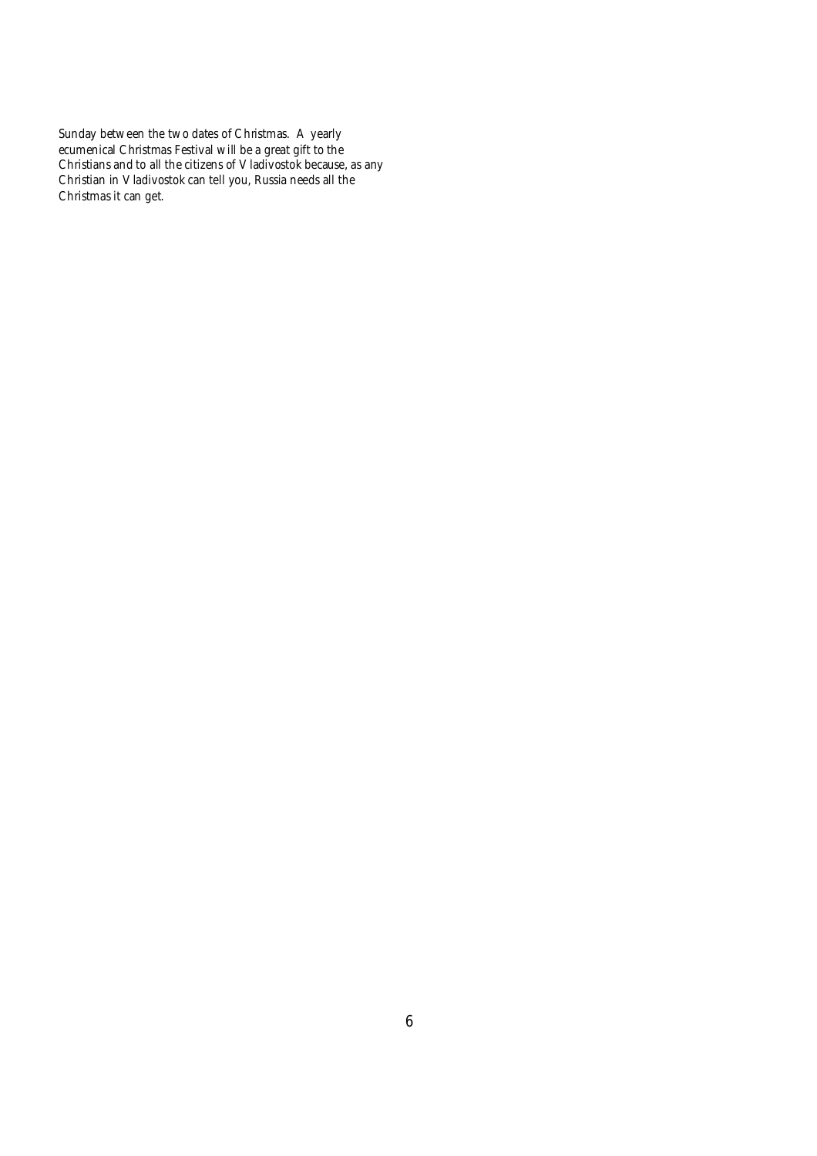Sunday between the two dates of Christmas. A yearly ecumenical Christmas Festival will be a great gift to the Christians and to all the citizens of Vladivostok because, as any Christian in Vladivostok can tell you, Russia needs all the Christmas it can get.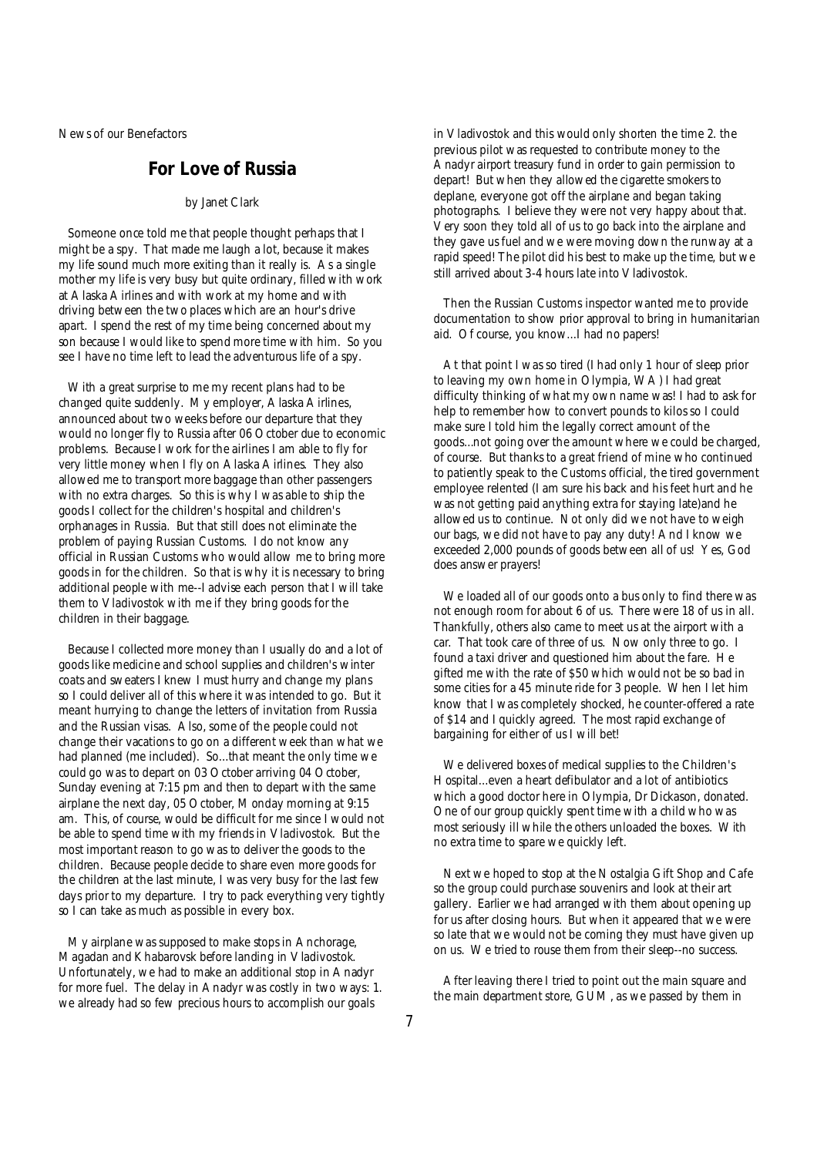News of our Benefactors

## **For Love of Russia**

#### *by Janet Clark*

Someone once told me that people thought perhaps that I might be a spy. That made me laugh a lot, because it makes my life sound much more exiting than it really is. As a single mother my life is very busy but quite ordinary, filled with work at Alaska Airlines and with work at my home and with driving between the two places which are an hour's drive apart. I spend the rest of my time being concerned about my son because I would like to spend more time with him. So you see I have no time left to lead the adventurous life of a spy.

With a great surprise to me my recent plans had to be changed quite suddenly. My employer, Alaska Airlines, announced about two weeks before our departure that they would no longer fly to Russia after 06 October due to economic problems. Because I work for the airlines I am able to fly for very little money when I fly on Alaska Airlines. They also allowed me to transport more baggage than other passengers with no extra charges. So this is why I was able to ship the goods I collect for the children's hospital and children's orphanages in Russia. But that still does not eliminate the problem of paying Russian Customs. I do not know any official in Russian Customs who would allow me to bring more goods in for the children. So that is why it is necessary to bring additional people with me--I advise each person that I will take them to Vladivostok with me if they bring goods for the children in their baggage.

Because I collected more money than I usually do and a lot of goods like medicine and school supplies and children's winter coats and sweaters I knew I must hurry and change my plans so I could deliver all of this where it was intended to go. But it meant hurrying to change the letters of invitation from Russia and the Russian visas. Also, some of the people could not change their vacations to go on a different week than what we had planned (me included). So...that meant the only time we could go was to depart on 03 October arriving 04 October, Sunday evening at 7:15 pm and then to depart with the same airplane the next day, 05 October, Monday morning at 9:15 am. This, of course, would be difficult for me since I would not be able to spend time with my friends in Vladivostok. But the most important reason to go was to deliver the goods to the children. Because people decide to share even more goods for the children at the last minute, I was very busy for the last few days prior to my departure. I try to pack everything very tightly so I can take as much as possible in every box.

My airplane was supposed to make stops in Anchorage, Magadan and Khabarovsk before landing in Vladivostok. Unfortunately, we had to make an additional stop in Anadyr for more fuel. The delay in Anadyr was costly in two ways: 1. we already had so few precious hours to accomplish our goals

in Vladivostok and this would only shorten the time 2. the previous pilot was requested to contribute money to the Anadyr airport treasury fund in order to gain permission to depart! But when they allowed the cigarette smokers to deplane, everyone got off the airplane and began taking photographs. I believe they were not very happy about that. Very soon they told all of us to go back into the airplane and they gave us fuel and we were moving down the runway at a rapid speed! The pilot did his best to make up the time, but we still arrived about 3-4 hours late into Vladivostok.

 Then the Russian Customs inspector wanted me to provide documentation to show prior approval to bring in humanitarian aid. Of course, you know...I had no papers!

 At that point I was so tired (I had only 1 hour of sleep prior to leaving my own home in Olympia, WA) I had great difficulty thinking of what my own name was! I had to ask for help to remember how to convert pounds to kilos so I could make sure I told him the legally correct amount of the goods...not going over the amount where we could be charged, of course. But thanks to a great friend of mine who continued to patiently speak to the Customs official, the tired government employee relented (I am sure his back and his feet hurt and he was not getting paid anything extra for staying late)and he allowed us to continue. Not only did we not have to weigh our bags, we did not have to pay any duty! And I know we exceeded 2,000 pounds of goods between all of us! Yes, God does answer prayers!

We loaded all of our goods onto a bus only to find there was not enough room for about 6 of us. There were 18 of us in all. Thankfully, others also came to meet us at the airport with a car. That took care of three of us. Now only three to go. I found a taxi driver and questioned him about the fare. He gifted me with the rate of \$50 which would not be so bad in some cities for a 45 minute ride for 3 people. When I let him know that I was completely shocked, he counter-offered a rate of \$14 and I quickly agreed. The most rapid exchange of bargaining for either of us I will bet!

 We delivered boxes of medical supplies to the Children's Hospital...even a heart defibulator and a lot of antibiotics which a good doctor here in Olympia, Dr Dickason, donated. One of our group quickly spent time with a child who was most seriously ill while the others unloaded the boxes. With no extra time to spare we quickly left.

 Next we hoped to stop at the Nostalgia Gift Shop and Cafe so the group could purchase souvenirs and look at their art gallery. Earlier we had arranged with them about opening up for us after closing hours. But when it appeared that we were so late that we would not be coming they must have given up on us. We tried to rouse them from their sleep--no success.

 After leaving there I tried to point out the main square and the main department store, GUM, as we passed by them in